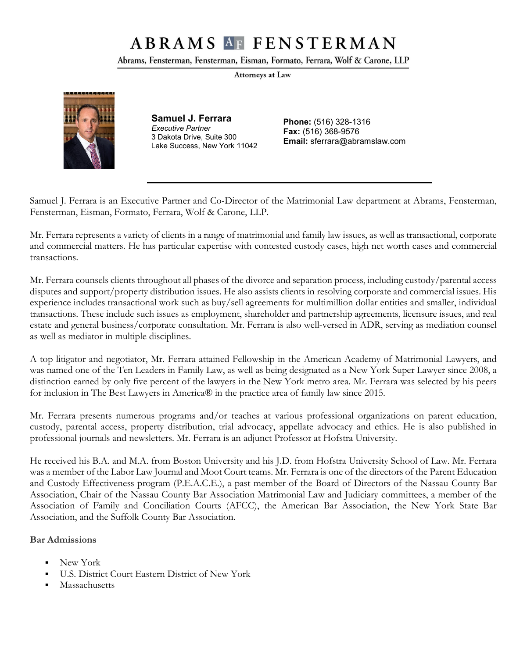# **ABRAMS AF FENSTERMAN**

Abrams, Fensterman, Fensterman, Eisman, Formato, Ferrara, Wolf & Carone, LLP

Attorneys at Law



**Samuel J. Ferrara** *Executive Partner* 3 Dakota Drive, Suite 300 Lake Success, New York 11042

**Phone:** (516) 328-1316 **Fax:** (516) 368-9576 **Email:** sferrara@abramslaw.com

Samuel J. Ferrara is an Executive Partner and Co-Director of the Matrimonial Law department at Abrams, Fensterman, Fensterman, Eisman, Formato, Ferrara, Wolf & Carone, LLP.

Mr. Ferrara represents a variety of clients in a range of matrimonial and family law issues, as well as transactional, corporate and commercial matters. He has particular expertise with contested custody cases, high net worth cases and commercial transactions.

Mr. Ferrara counsels clients throughout all phases of the divorce and separation process, including custody/parental access disputes and support/property distribution issues. He also assists clients in resolving corporate and commercial issues. His experience includes transactional work such as buy/sell agreements for multimillion dollar entities and smaller, individual transactions. These include such issues as employment, shareholder and partnership agreements, licensure issues, and real estate and general business/corporate consultation. Mr. Ferrara is also well-versed in ADR, serving as mediation counsel as well as mediator in multiple disciplines.

A top litigator and negotiator, Mr. Ferrara attained Fellowship in the American Academy of Matrimonial Lawyers, and was named one of the Ten Leaders in Family Law, as well as being designated as a New York Super Lawyer since 2008, a distinction earned by only five percent of the lawyers in the New York metro area. Mr. Ferrara was selected by his peers for inclusion in The Best Lawyers in America® in the practice area of family law since 2015.

Mr. Ferrara presents numerous programs and/or teaches at various professional organizations on parent education, custody, parental access, property distribution, trial advocacy, appellate advocacy and ethics. He is also published in professional journals and newsletters. Mr. Ferrara is an adjunct Professor at Hofstra University.

He received his B.A. and M.A. from Boston University and his J.D. from Hofstra University School of Law. Mr. Ferrara was a member of the Labor Law Journal and Moot Court teams. Mr. Ferrara is one of the directors of the Parent Education and Custody Effectiveness program (P.E.A.C.E.), a past member of the Board of Directors of the Nassau County Bar Association, Chair of the Nassau County Bar Association Matrimonial Law and Judiciary committees, a member of the Association of Family and Conciliation Courts (AFCC), the American Bar Association, the New York State Bar Association, and the Suffolk County Bar Association.

#### **Bar Admissions**

- New York
- U.S. District Court Eastern District of New York
- Massachusetts